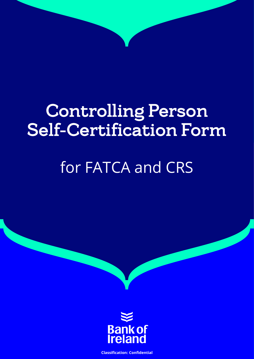# Controlling Person Self-Certification Form

# for FATCA and CRS



**Classification: Confidential**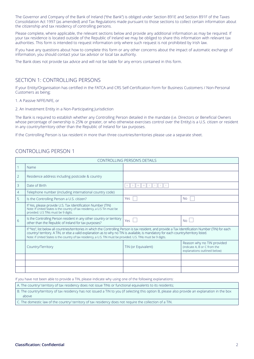The Governor and Company of the Bank of Ireland ("the Bank") is obliged under Section 891E and Section 891F of the Taxes Consolidation Act 1997 (as amended) and Tax Regulations made pursuant to those sections to collect certain information about the citizenship and tax residency of controlling persons.

Please complete, where applicable, the relevant sections below and provide any additional information as may be required. If your tax residence is located outside of the Republic of Ireland we may be obliged to share this information with relevant tax authorities. This form is intended to request information only where such request is not prohibited by Irish law.

If you have any questions about how to complete this form or any other concerns about the impact of automatic exchange of information, you should contact your tax advisor or local tax authority.

The Bank does not provide tax advice and will not be liable for any errors contained in this form.

### SECTION 1: CONTROLLING PERSONS

If your Entity/Organisation has certified in the FATCA and CRS Self-Certification Form for Business Customers / Non-Personal Customers as being;

1. A Passive NFFE/NFE, or

2. An Investment Entity in a Non-Participating Jurisdiction

The Bank is required to establish whether any Controlling Person detailed in the mandate (i.e. Directors or Beneficial Owners whose percentage of ownership is 25% or greater, or who otherwise exercises control over the Entity) is a U.S. citizen or resident in any country/territory other than the Republic of Ireland for tax purposes.

If the Controlling Person is tax resident in more than three countries/territories please use a separate sheet.

# CONTROLLING PERSON 1

| <b>CONTROLLING PERSON'S DETAILS</b> |                                                                                                                                                                                                                                                                                                                                                                                                                     |                      |                                                                                            |
|-------------------------------------|---------------------------------------------------------------------------------------------------------------------------------------------------------------------------------------------------------------------------------------------------------------------------------------------------------------------------------------------------------------------------------------------------------------------|----------------------|--------------------------------------------------------------------------------------------|
|                                     | Name                                                                                                                                                                                                                                                                                                                                                                                                                |                      |                                                                                            |
| $\overline{2}$                      | Residence address including postcode & country                                                                                                                                                                                                                                                                                                                                                                      |                      |                                                                                            |
| 3                                   | Date of Birth                                                                                                                                                                                                                                                                                                                                                                                                       | M<br>D   M<br>Y<br>D |                                                                                            |
| 4                                   | Telephone number (including international country code)                                                                                                                                                                                                                                                                                                                                                             |                      |                                                                                            |
| 5                                   | Is the Controlling Person a U.S. citizen?                                                                                                                                                                                                                                                                                                                                                                           | <b>Yes</b>           | <b>No</b>                                                                                  |
|                                     | If Yes, please provide U.S. Tax Identification Number (TIN)<br>Note: If United States is the country of tax residency, a U.S Tin must be<br>provided. U.S TINs must be 9 digits.                                                                                                                                                                                                                                    |                      |                                                                                            |
| 6                                   | Is the Controlling Person resident in any other country or territory<br>other than the Republic of Ireland for tax purposes?                                                                                                                                                                                                                                                                                        | <b>Yes</b>           | No                                                                                         |
|                                     | If "Yes", list below all countries/territories in which the Controlling Person is tax resident, and provide a Tax Identification Number (TIN) for each<br>country/ territory. A TIN, or else a valid explanation as to why no TIN is available, is mandatory for each country/territory listed.<br>Note: if United States is the country of tax residency, a U.S. TIN must be provided. U.S. TINs must be 9 digits. |                      |                                                                                            |
|                                     | Country/Territory                                                                                                                                                                                                                                                                                                                                                                                                   | TIN (or Equivalent)  | Reason why no TIN provided<br>(indicate A, B or C from the<br>explanations outlined below) |
|                                     |                                                                                                                                                                                                                                                                                                                                                                                                                     |                      |                                                                                            |
|                                     |                                                                                                                                                                                                                                                                                                                                                                                                                     |                      |                                                                                            |
|                                     |                                                                                                                                                                                                                                                                                                                                                                                                                     |                      |                                                                                            |

If you have not been able to provide a TIN, please indicate why using one of the following explanations:

A. The country/ territory of tax residency does not issue TINs or functional equivalents to its residents;

B. The country/territory of tax residency has not issued a TIN to you (if selecting this option B, please also provide an explanation in the box above

C. The domestic law of the country/ territory of tax residency does not require the collection of a TIN.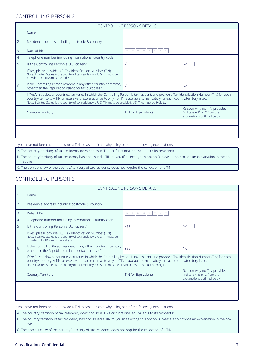# CONTROLLING PERSON 2

| <b>CONTROLLING PERSON'S DETAILS</b> |                                                                                                                                                                                                                                                                                                                                                                                                                     |                     |                                                                                            |
|-------------------------------------|---------------------------------------------------------------------------------------------------------------------------------------------------------------------------------------------------------------------------------------------------------------------------------------------------------------------------------------------------------------------------------------------------------------------|---------------------|--------------------------------------------------------------------------------------------|
|                                     | Name                                                                                                                                                                                                                                                                                                                                                                                                                |                     |                                                                                            |
| $\overline{2}$                      | Residence address including postcode & country                                                                                                                                                                                                                                                                                                                                                                      |                     |                                                                                            |
| 3                                   | Date of Birth                                                                                                                                                                                                                                                                                                                                                                                                       | D M M<br>D<br>Y     |                                                                                            |
| $\overline{4}$                      | Telephone number (including international country code)                                                                                                                                                                                                                                                                                                                                                             |                     |                                                                                            |
| 5                                   | Is the Controlling Person a U.S. citizen?                                                                                                                                                                                                                                                                                                                                                                           | Yes                 | No.                                                                                        |
|                                     | If Yes, please provide U.S. Tax Identification Number (TIN)<br>Note: If United States is the country of tax residency, a U.S Tin must be<br>provided. U.S TINs must be 9 digits.                                                                                                                                                                                                                                    |                     |                                                                                            |
| 6                                   | Is the Controlling Person resident in any other country or territory<br>other than the Republic of Ireland for tax purposes?                                                                                                                                                                                                                                                                                        | Yes                 | No                                                                                         |
|                                     | If "Yes", list below all countries/territories in which the Controlling Person is tax resident, and provide a Tax Identification Number (TIN) for each<br>country/ territory. A TIN, or else a valid explanation as to why no TIN is available, is mandatory for each country/territory listed.<br>Note: if United States is the country of tax residency, a U.S. TIN must be provided. U.S. TINs must be 9 digits. |                     |                                                                                            |
|                                     | Country/Territory                                                                                                                                                                                                                                                                                                                                                                                                   | TIN (or Equivalent) | Reason why no TIN provided<br>(indicate A, B or C from the<br>explanations outlined below) |
|                                     |                                                                                                                                                                                                                                                                                                                                                                                                                     |                     |                                                                                            |
|                                     |                                                                                                                                                                                                                                                                                                                                                                                                                     |                     |                                                                                            |
|                                     |                                                                                                                                                                                                                                                                                                                                                                                                                     |                     |                                                                                            |

If you have not been able to provide a TIN, please indicate why using one of the following explanations:

A. The country/ territory of tax residency does not issue TINs or functional equivalents to its residents; B. The country/territory of tax residency has not issued a TIN to you (if selecting this option B, please also provide an explanation in the box above

C. The domestic law of the country/ territory of tax residency does not require the collection of a TIN.

# CONTROLLING PERSON 3

| <b>CONTROLLING PERSON'S DETAILS</b> |                                                                                                                                                                                                                                                                                                                                                                                                                     |                     |                                                                                            |
|-------------------------------------|---------------------------------------------------------------------------------------------------------------------------------------------------------------------------------------------------------------------------------------------------------------------------------------------------------------------------------------------------------------------------------------------------------------------|---------------------|--------------------------------------------------------------------------------------------|
|                                     | Name                                                                                                                                                                                                                                                                                                                                                                                                                |                     |                                                                                            |
| $\overline{2}$                      | Residence address including postcode & country                                                                                                                                                                                                                                                                                                                                                                      |                     |                                                                                            |
| 3                                   | Date of Birth                                                                                                                                                                                                                                                                                                                                                                                                       | D<br>D   M<br>M     |                                                                                            |
| $\overline{4}$                      | Telephone number (including international country code)                                                                                                                                                                                                                                                                                                                                                             |                     |                                                                                            |
| 5                                   | Is the Controlling Person a U.S. citizen?                                                                                                                                                                                                                                                                                                                                                                           | Yes                 | <b>No</b>                                                                                  |
|                                     | If Yes, please provide U.S. Tax Identification Number (TIN)<br>Note: If United States is the country of tax residency, a U.S Tin must be<br>provided. U.S TINs must be 9 digits.                                                                                                                                                                                                                                    |                     |                                                                                            |
| 6                                   | Is the Controlling Person resident in any other country or territory<br>other than the Republic of Ireland for tax purposes?                                                                                                                                                                                                                                                                                        | Yes                 | <b>No</b>                                                                                  |
|                                     | If "Yes", list below all countries/territories in which the Controlling Person is tax resident, and provide a Tax Identification Number (TIN) for each<br>country/ territory. A TIN, or else a valid explanation as to why no TIN is available, is mandatory for each country/territory listed.<br>Note: if United States is the country of tax residency, a U.S. TIN must be provided. U.S. TINs must be 9 digits. |                     |                                                                                            |
|                                     | Country/Territory                                                                                                                                                                                                                                                                                                                                                                                                   | TIN (or Equivalent) | Reason why no TIN provided<br>(indicate A, B or C from the<br>explanations outlined below) |
|                                     |                                                                                                                                                                                                                                                                                                                                                                                                                     |                     |                                                                                            |
|                                     |                                                                                                                                                                                                                                                                                                                                                                                                                     |                     |                                                                                            |
|                                     |                                                                                                                                                                                                                                                                                                                                                                                                                     |                     |                                                                                            |

If you have not been able to provide a TIN, please indicate why using one of the following explanations:

A. The country/ territory of tax residency does not issue TINs or functional equivalents to its residents;

B. The country/territory of tax residency has not issued a TIN to you (if selecting this option B, please also provide an explanation in the box above

C. The domestic law of the country/ territory of tax residency does not require the collection of a TIN.